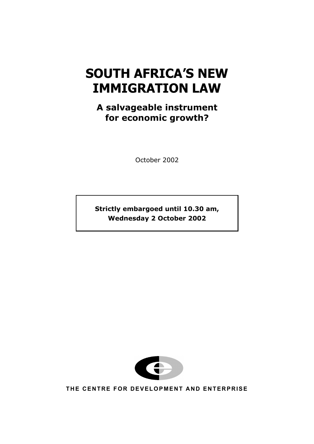# **SOUTH AFRICA'S NEW IMMIGRATION LAW**

# **A salvageable instrument for economic growth?**

October 2002

**Strictly embargoed until 10.30 am, Wednesday 2 October 2002**



**THE CENTRE FOR DEVELOPMENT AND ENTERPRISE**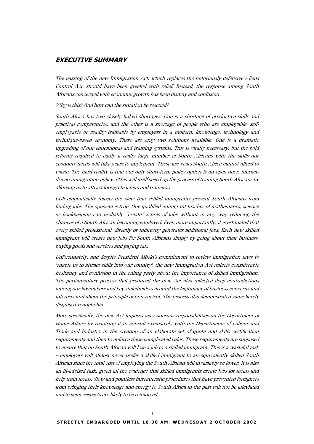# **EXECUTIVE SUMMARY**

The passing of the new Immigration Act, which replaces the notoriously defensive Aliens Control Act, should have been greeted with relief. Instead, the response among South Africans concerned with economic growth has been dismay and confusion.

Why is this? And how can the situation be rescued?

South Africa has two closely linked shortages. One is a shortage of productive skills and practical competencies, and the other is a shortage of people who are employable, selfemployable or readily trainable by employers in a modern, knowledge, technology and technique-based economy. There are only two solutions available. One is a dramatic upgrading of our educational and training systems. This is vitally necessary, but the bold reforms required to equip a really large number of South Africans with the skills our economy needs will take years to implement. These are years South Africa cannot afford to waste. The hard reality is that our only short-term policy option is an open door, marketdriven immigration policy. (This will itself speed up the process of training South Africans by allowing us to attract foreign teachers and trainers.)

CDE emphatically rejects the view that skilled immigrants prevent South Africans from finding jobs. The opposite is true. One qualified immigrant teacher of mathematics, science or bookkeeping can probably "create" scores of jobs without in any way reducing the chances of a South African becoming employed. Even more importantly, it is estimated that every skilled professional, directly or indirectly generates additional jobs. Each new skilled immigrant will create new jobs for South Africans simply by going about their business, buying goods and services and paying tax.

Unfortunately, and despite President Mbeki's commitment to review immigration laws to 'enable us to attract skills into our country', the new Immigration Act reflects considerable hesitancy and confusion in the ruling party about the importance of skilled immigration. The parliamentary process that produced the new Act also reflected deep contradictions among our lawmakers and key stakeholders around the legitimacy of business concerns and interests and about the principle of non-racism. The process also demonstrated some barely disguised xenophobia.

More specifically, the new Act imposes very onerous responsibilities on the Department of Home Affairs by requiring it to consult extensively with the Departments of Labour and Trade and Industry in the creation of an elaborate set of quota and skills certification requirements and then to enforce these complicated rules. These requirements are supposed to ensure that no South African will lose a job to a skilled immigrant. This is a wasteful task – employers will almost never prefer a skilled immigrant to an equivalently skilled South African since the total cost of employing the South African will invariably be lower. It is also an ill-advised task, given all the evidence that skilled immigrants create jobs for locals and help train locals. Slow and pointless bureaucratic procedures that have prevented foreigners from bringing their knowledge and energy to South Africa in the past will not be alleviated and in some respects are likely to be reinforced.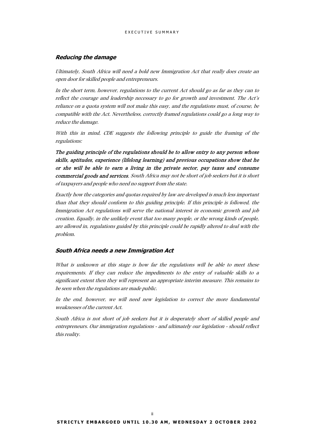### **Reducing the damage**

Ultimately, South Africa will need a bold new Immigration Act that really does create an open door for skilled people and entrepreneurs.

In the short term, however, regulations to the current Act should go as far as they can to reflect the courage and leadership necessary to go for growth and investment. The Act's reliance on a quota system will not make this easy, and the regulations must, of course, be compatible with the Act. Nevertheless, correctly framed regulations could go a long way to reduce the damage.

With this in mind, CDE suggests the following principle to guide the framing of the regulations:

The guiding principle of the regulations should be to allow entry to any person whose skills, aptitudes, experience (lifelong learning) and previous occupations show that he or she will be able to earn a living in the private sector, pay taxes and consume commercial goods and services. South Africa may not be short of job seekers but it is short of taxpayers and people who need no support from the state.

Exactly how the categories and quotas required by law are developed is much less important than that they should conform to this guiding principle. If this principle is followed, the Immigration Act regulations will serve the national interest in economic growth and job creation. Equally, in the unlikely event that too many people, or the wrong kinds of people, are allowed in, regulations guided by this principle could be rapidly altered to deal with the problem.

#### **South Africa needs a new Immigration Act**

What is unknown at this stage is how far the regulations will be able to meet these requirements. If they can reduce the impediments to the entry of valuable skills to a significant extent then they will represent an appropriate interim measure. This remains to be seen when the regulations are made public.

In the end, however, we will need new legislation to correct the more fundamental weaknesses of the current Act.

South Africa is not short of job seekers but it is desperately short of skilled people and entrepreneurs. Our immigration regulations - and ultimately our legislation - should reflect this reality.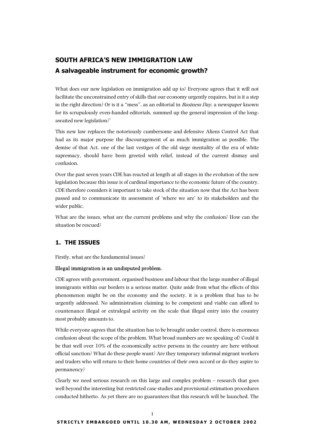# **SOUTH AFRICA'S NEW IMMIGRATION LAW A salvageable instrument for economic growth?**

What does our new legislation on immigration add up to? Everyone agrees that it will not facilitate the unconstrained entry of skills that our economy urgently requires, but is it a step in the right direction? Or is it a "mess", as an editorial in *Business Day*, a newspaper known for its scrupulously even-handed editorials, summed up the general impression of the longawaited new legislation? $1$ 

This new law replaces the notoriously cumbersome and defensive Aliens Control Act that had as its major purpose the discouragement of as much immigration as possible. The demise of that Act, one of the last vestiges of the old siege mentality of the era of white supremacy, should have been greeted with relief, instead of the current dismay and confusion.

Over the past seven years CDE has reacted at length at all stages in the evolution of the new legislation because this issue is of cardinal importance to the economic future of the country. CDE therefore considers it important to take stock of the situation now that the Act has been passed and to communicate its assessment of 'where we are' to its stakeholders and the wider public.

What are the issues, what are the current problems and why the confusion? How can the situation be rescued?

# **1. THE ISSUES**

Firstly, what are the fundamental issues?

# Illegal immigration is an undisputed problem.

CDE agrees with government, organised business and labour that the large number of illegal immigrants within our borders is a serious matter. Quite aside from what the effects of this phenomenon might be on the economy and the society, it is a problem that has to be urgently addressed. No administration claiming to be competent and viable can afford to countenance illegal or extralegal activity on the scale that illegal entry into the country most probably amounts to.

While everyone agrees that the situation has to be brought under control, there is enormous confusion about the scope of the problem. What broad numbers are we speaking of? Could it be that well over 10% of the economically active persons in the country are here without official sanction? What do these people want? Are they temporary informal migrant workers and traders who will return to their home countries of their own accord or do they aspire to permanency?

Clearly we need serious research on this large and complex problem – research that goes well beyond the interesting but restricted case studies and provisional estimation procedures conducted hitherto. As yet there are no guarantees that this research will be launched. The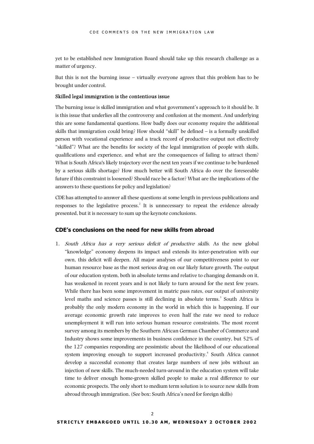yet to be established new Immigration Board should take up this research challenge as a matter of urgency.

But this is not the burning issue – virtually everyone agrees that this problem has to be brought under control.

#### Skilled legal immigration is the contentious issue

The burning issue is skilled immigration and what government's approach to it should be. It is this issue that underlies all the controversy and confusion at the moment. And underlying this are some fundamental questions. How badly does our economy require the additional skills that immigration could bring? How should "skill" be defined – is a formally unskilled person with vocational experience and a track record of productive output not effectively "skilled"? What are the benefits for society of the legal immigration of people with skills, qualifications and experience, and what are the consequences of failing to attract them? What is South Africa's likely trajectory over the next ten years if we continue to be burdened by a serious skills shortage? How much better will South Africa do over the foreseeable future if this constraint is loosened? Should race be a factor? What are the implications of the answers to these questions for policy and legislation?

CDE has attempted to answer all these questions at some length in previous publications and responses to the legislative process.<sup>[2](#page-25-1)</sup> It is unnecessary to repeat the evidence already presented, but it is necessary to sum up the keynote conclusions.

# **CDE's conclusions on the need for new skills from abroad**

1. South Africa has a very serious deficit of productive skills. As the new global "knowledge" economy deepens its impact and extends its inter-penetration with our own, this deficit will deepen. All major analyses of our competitiveness point to our human resource base as the most serious drag on our likely future growth. The output of our education system, both in absolute terms and relative to changing demands on it, has weakened in recent years and is not likely to turn around for the next few years. While there has been some improvement in matric pass rates, our output of university level maths and science passes is still declining in absolute terms.<sup>[3](#page-25-2)</sup> South Africa is probably the only modern economy in the world in which this is happening. If our average economic growth rate improves to even half the rate we need to reduce unemployment it will run into serious human resource constraints. The most recent survey among its members by the Southern African German Chamber of Commerce and Industry shows some improvements in business confidence in the country, but 52% of the 127 companies responding are pessimistic about the likelihood of our educational system improving enough to support increased productivity.<sup>[4](#page-25-3)</sup> South Africa cannot develop a successful economy that creates large numbers of new jobs without an injection of new skills. The much-needed turn-around in the education system will take time to deliver enough home-grown skilled people to make a real difference to our economic prospects. The only short to medium term solution is to source new skills from abroad through immigration. (See box: South Africa's need for foreign skills)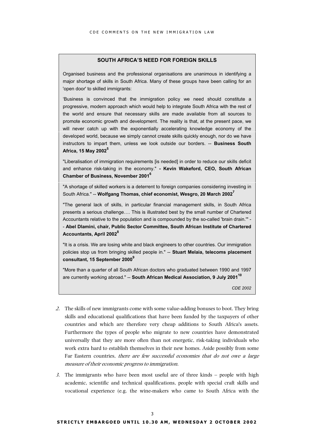# **SOUTH AFRICA'S NEED FOR FOREIGN SKILLS**

Organised business and the professional organisations are unanimous in identifying a major shortage of skills in South Africa. Many of these groups have been calling for an 'open door' to skilled immigrants:

'Business is convinced that the immigration policy we need should constitute a progressive, modern approach which would help to integrate South Africa with the rest of the world and ensure that necessary skills are made available from all sources to promote economic growth and development. The reality is that, at the present pace, we will never catch up with the exponentially accelerating knowledge economy of the developed world, because we simply cannot create skills quickly enough, nor do we have instructors to impart them, unless we look outside our borders. -- **Business South Africa, 15 May 2002[5](#page-25-4)**

"Liberalisation of immigration requirements [is needed] in order to reduce our skills deficit and enhance risk-taking in the economy." **- Kevin Wakeford, CEO, South African Chamber of Business, November 2001[6](#page-25-5)**

"A shortage of skilled workers is a deterrent to foreign companies considering investing in South Africa." -- **Wolfgang Thomas, chief economist, Wesgro, 20 March 2002[7](#page-25-6)**

"The general lack of skills, in particular financial management skills, in South Africa presents a serious challenge…. This is illustrated best by the small number of Chartered Accountants relative to the population and is compounded by the so-called 'brain drain.'" - - **Abel Dlamini, chair, Public Sector Committee, South African Institute of Chartered Accountants, April 2002[8](#page-25-7)**

"It is a crisis. We are losing white and black engineers to other countries. Our immigration policies stop us from bringing skilled people in." -- **Stuart Melaia, telecoms placement consultant, 15 September 2000[9](#page-25-8)**

"More than a quarter of all South African doctors who graduated between 1990 and 1997 are currently working abroad." -- **South African Medical Association, 9 July 2001[10](#page-25-9)**

*CDE 2002*

- 2. The skills of new immigrants come with some value-adding bonuses to boot. They bring skills and educational qualifications that have been funded by the taxpayers of other countries and which are therefore very cheap additions to South Africa's assets. Furthermore the types of people who migrate to new countries have demonstrated universally that they are more often than not energetic, risk-taking individuals who work extra hard to establish themselves in their new homes. Aside possibly from some Far Eastern countries, there are few successful economies that do not owe a large measure of their economic progress to immigration.
- 3. The immigrants who have been most useful are of three kinds people with high academic, scientific and technical qualifications, people with special craft skills and vocational experience (e.g. the wine-makers who came to South Africa with the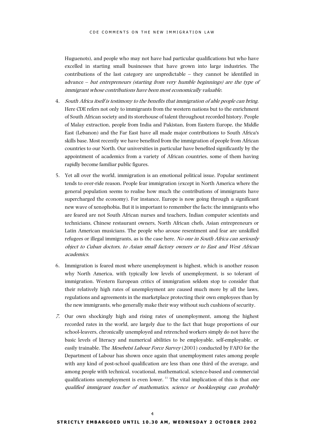Huguenots), and people who may not have had particular qualifications but who have excelled in starting small businesses that have grown into large industries. The contributions of the last category are unpredictable – they cannot be identified in advance – but entrepreneurs (starting from very humble beginnings) are the type of immigrant whose contributions have been most economically valuable.

- 4. South Africa itself is testimony to the benefits that immigration of able people can bring. Here CDE refers not only to immigrants from the western nations but to the enrichment of South African society and its storehouse of talent throughout recorded history. People of Malay extraction, people from India and Pakistan, from Eastern Europe, the Middle East (Lebanon) and the Far East have all made major contributions to South Africa's skills base. Most recently we have benefited from the immigration of people from African countries to our North. Our universities in particular have benefited significantly by the appointment of academics from a variety of African countries, some of them having rapidly become familiar public figures.
- 5. Yet all over the world, immigration is an emotional political issue. Popular sentiment tends to over-ride reason. People fear immigration (except in North America where the general population seems to realise how much the contributions of immigrants have supercharged the economy). For instance, Europe is now going through a significant new wave of xenophobia. But it is important to remember the facts: the immigrants who are feared are not South African nurses and teachers, Indian computer scientists and technicians, Chinese restaurant owners, North African chefs, Asian entrepreneurs or Latin American musicians. The people who arouse resentment and fear are unskilled refugees or illegal immigrants, as is the case here. No one in South Africa can seriously object to Cuban doctors, to Asian small factory owners or to East and West African academics.
- 6. Immigration is feared most where unemployment is highest, which is another reason why North America, with typically low levels of unemployment, is so tolerant of immigration. Western European critics of immigration seldom stop to consider that their relatively high rates of unemployment are caused much more by all the laws, regulations and agreements in the marketplace protecting their own employees than by the new immigrants, who generally make their way without such cushions of security.
- 7. Our own shockingly high and rising rates of unemployment, among the highest recorded rates in the world, are largely due to the fact that huge proportions of our school-leavers, chronically unemployed and retrenched workers simply do not have the basic levels of literacy and numerical abilities to be employable, self-employable, or easily trainable. The Mesebetsi Labour Force Survey (2001) conducted by FAFO for the Department of Labour has shown once again that unemployment rates among people with any kind of post-school qualification are less than one third of the average, and among people with technical, vocational, mathematical, science-based and commercial qualifications unemployment is even lower.<sup>11</sup> The vital implication of this is that *one* qualified immigrant teacher of mathematics, science or bookkeeping can probably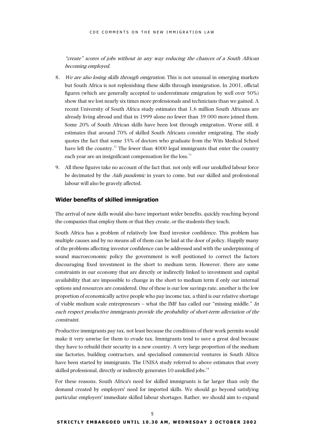"create" scores of jobs without in any way reducing the chances of a South African becoming employed.

- 8. We are also losing skills through emigration. This is not unusual in emerging markets but South Africa is not replenishing these skills through immigration. In 2001, official figures (which are generally accepted to underestimate emigration by well over 50%) show that we lost nearly six times more professionals and technicians than we gained. A recent University of South Africa study estimates that 1,6 million South Africans are already living abroad and that in 1999 alone no fewer than 39 000 more joined them. Some 20% of South African skills have been lost through emigration. Worse still, it estimates that around 70% of skilled South Africans consider emigrating. The study quotes the fact that some 35% of doctors who graduate from the Wits Medical School have left the country.<sup>12</sup> The fewer than 4000 legal immigrants that enter the country each year are an insignificant compensation for the loss.<sup>13</sup>
- 9. All these figures take no account of the fact that, not only will our unskilled labour force be decimated by the Aids pandemic in years to come, but our skilled and professional labour will also be gravely affected.

#### **Wider benefits of skilled immigration**

The arrival of new skills would also have important wider benefits, quickly reaching beyond the companies that employ them or that they create, or the students they teach.

South Africa has a problem of relatively low fixed investor confidence. This problem has multiple causes and by no means all of them can be laid at the door of policy. Happily many of the problems affecting investor confidence can be addressed and with the underpinning of sound macroeconomic policy the government is well positioned to correct the factors discouraging fixed investment in the short to medium term. However, there are some constraints in our economy that are directly or indirectly linked to investment and capital availability that are impossible to change in the short to medium term if only our internal options and resources are considered. One of these is our low savings rate, another is the low proportion of economically active people who pay income tax, a third is our relative shortage of viable medium scale entrepreneurs – what the IMF has called our "missing middle." In each respect productive immigrants provide the probability of short-term alleviation of the constraint.

Productive immigrants pay tax, not least because the conditions of their work permits would make it very unwise for them to evade tax. Immigrants tend to save a great deal because they have to rebuild their security in a new country. A very large proportion of the medium size factories, building contractors, and specialised commercial ventures in South Africa have been started by immigrants. The UNISA study referred to above estimates that every skilled professional, directly or indirectly generates 10 unskilled jobs.<sup>[14](#page-25-13)</sup>

For these reasons, South Africa's need for skilled immigrants is far larger than only the demand created by employers' need for imported skills. We should go beyond satisfying particular employers' immediate skilled labour shortages. Rather, we should aim to expand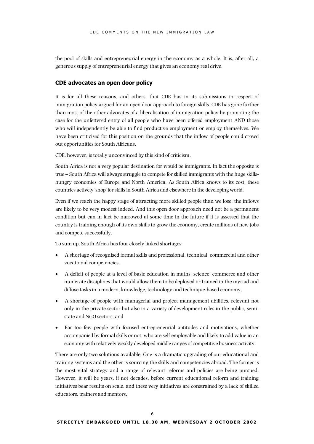the pool of skills and entrepreneurial energy in the economy as a whole. It is, after all, a generous supply of entrepreneurial energy that gives an economy real drive.

#### **CDE advocates an open door policy**

It is for all these reasons, and others, that CDE has in its submissions in respect of immigration policy argued for an open door approach to foreign skills. CDE has gone further than most of the other advocates of a liberalisation of immigration policy by promoting the case for the unfettered entry of all people who have been offered employment AND those who will independently be able to find productive employment or employ themselves. We have been criticised for this position on the grounds that the inflow of people could crowd out opportunities for South Africans.

CDE, however, is totally unconvinced by this kind of criticism.

South Africa is not a very popular destination for would be immigrants. In fact the opposite is true – South Africa will always struggle to compete for skilled immigrants with the huge skillshungry economies of Europe and North America. As South Africa knows to its cost, these countries actively 'shop' for skills in South Africa and elsewhere in the developing world.

Even if we reach the happy stage of attracting more skilled people than we lose, the inflows are likely to be very modest indeed. And this open door approach need not be a permanent condition but can in fact be narrowed at some time in the future if it is assessed that the country is training enough of its own skills to grow the economy, create millions of new jobs and compete successfully.

To sum up, South Africa has four closely linked shortages:

- A shortage of recognised formal skills and professional, technical, commercial and other vocational competencies,
- A deficit of people at a level of basic education in maths, science, commerce and other numerate disciplines that would allow them to be deployed or trained in the myriad and diffuse tasks in a modern, knowledge, technology and technique-based economy,
- A shortage of people with managerial and project management abilities, relevant not only in the private sector but also in a variety of development roles in the public, semistate and NGO sectors, and
- Far too few people with focused entrepreneurial aptitudes and motivations, whether accompanied by formal skills or not, who are self-employable and likely to add value in an economy with relatively weakly developed middle ranges of competitive business activity.

There are only two solutions available. One is a dramatic upgrading of our educational and training systems and the other is sourcing the skills and competencies abroad. The former is the most vital strategy and a range of relevant reforms and policies are being pursued. However, it will be years, if not decades, before current educational reform and training initiatives bear results on scale, and these very initiatives are constrained by a lack of skilled educators, trainers and mentors.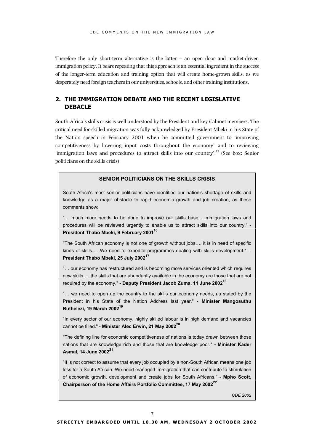Therefore the only short-term alternative is the latter  $-$  an open door and market-driven immigration policy. It bears repeating that this approach is an essential ingredient in the success of the longer-term education and training option that will create home-grown skills, as we desperately need foreign teachers in our universities, schools, and other training institutions.

# **2. THE IMMIGRATION DEBATE AND THE RECENT LEGISLATIVE DEBACLE**

South Africa's skills crisis is well understood by the President and key Cabinet members. The critical need for skilled migration was fully acknowledged by President Mbeki in his State of the Nation speech in February 2001 when he committed government to 'improving competitiveness by lowering input costs throughout the economy' and to reviewing 'immigration laws and procedures to attract skills into our country'.[15](#page-25-14) (See box: Senior politicians on the skills crisis)

#### **SENIOR POLITICIANS ON THE SKILLS CRISIS**

South Africa's most senior politicians have identified our nation's shortage of skills and knowledge as a major obstacle to rapid economic growth and job creation, as these comments show:

"… much more needs to be done to improve our skills base….Immigration laws and procedures will be reviewed urgently to enable us to attract skills into our country." - **President Thabo Mbeki, 9 February 2001[16](#page-25-15)**

"The South African economy is not one of growth without jobs…. it is in need of specific kinds of skills.... We need to expedite programmes dealing with skills development." --**President Thabo Mbeki, 25 July 2002[17](#page-25-16)**

"… our economy has restructured and is becoming more services oriented which requires new skills…. the skills that are abundantly available in the economy are those that are not required by the economy." - **Deputy President Jacob Zuma, 11 June 2002[18](#page-25-17)**

"… we need to open up the country to the skills our economy needs, as stated by the President in his State of the Nation Address last year." - **Minister Mangosuthu Buthelezi, 19 March 2002[19](#page-25-18)**

"In every sector of our economy, highly skilled labour is in high demand and vacancies cannot be filled." - **Minister Alec Erwin, 21 May 2002[20](#page-25-19)**

"The defining line for economic competitiveness of nations is today drawn between those nations that are knowledge rich and those that are knowledge poor." **- Minister Kader Asmal, 14 June 2002[21](#page-25-20)**

"It is not correct to assume that every job occupied by a non-South African means one job less for a South African. We need managed immigration that can contribute to stimulation of economic growth, development and create jobs for South Africans." - **Mpho Scott, Chairperson of the Home Affairs Portfolio Committee, 17 May 2002[22](#page-25-21)**

*CDE 2002*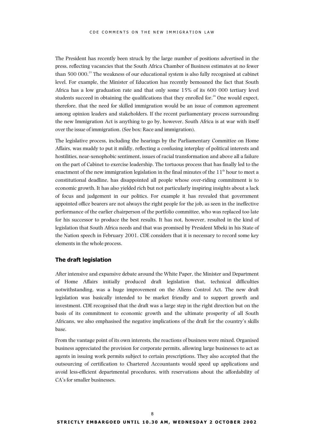The President has recently been struck by the large number of positions advertised in the press, reflecting vacancies that the South Africa Chamber of Business estimates at no fewer than 500 000.<sup>23</sup> The weakness of our educational system is also fully recognised at cabinet level. For example, the Minister of Education has recently bemoaned the fact that South Africa has a low graduation rate and that only some 15% of its 600 000 tertiary level students succeed in obtaining the qualifications that they enrolled for. $^{24}$  One would expect, therefore, that the need for skilled immigration would be an issue of common agreement among opinion leaders and stakeholders. If the recent parliamentary process surrounding the new Immigration Act is anything to go by, however, South Africa is at war with itself over the issue of immigration. (See box: Race and immigration).

The legislative process, including the hearings by the Parliamentary Committee on Home Affairs, was muddy to put it mildly, reflecting a confusing interplay of political interests and hostilities, near-xenophobic sentiment, issues of racial transformation and above all a failure on the part of Cabinet to exercise leadership. The tortuous process that has finally led to the enactment of the new immigration legislation in the final minutes of the  $11<sup>th</sup>$  hour to meet a constitutional deadline, has disappointed all people whose over-riding commitment is to economic growth. It has also yielded rich but not particularly inspiring insights about a lack of focus and judgement in our politics. For example it has revealed that government appointed office bearers are not always the right people for the job, as seen in the ineffective performance of the earlier chairperson of the portfolio committee, who was replaced too late for his successor to produce the best results. It has not, however, resulted in the kind of legislation that South Africa needs and that was promised by President Mbeki in his State of the Nation speech in February 2001. CDE considers that it is necessary to record some key elements in the whole process.

### **The draft legislation**

After intensive and expansive debate around the White Paper, the Minister and Department of Home Affairs initially produced draft legislation that, technical difficulties notwithstanding, was a huge improvement on the Aliens Control Act. The new draft legislation was basically intended to be market friendly and to support growth and investment. CDE recognised that the draft was a large step in the right direction but on the basis of its commitment to economic growth and the ultimate prosperity of all South Africans, we also emphasised the negative implications of the draft for the country's skills base.

From the vantage point of its own interests, the reactions of business were mixed. Organised business appreciated the provision for corporate permits, allowing large businesses to act as agents in issuing work permits subject to certain prescriptions. They also accepted that the outsourcing of certification to Chartered Accountants would speed up applications and avoid less-efficient departmental procedures, with reservations about the affordability of CA's for smaller businesses.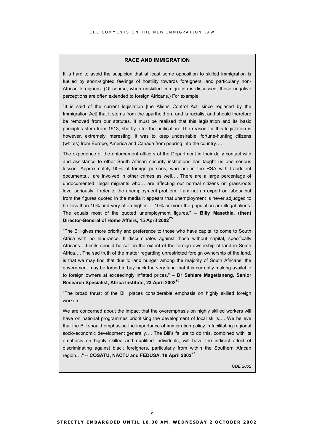# **RACE AND IMMIGRATION**

It is hard to avoid the suspicion that at least some opposition to skilled immigration is fuelled by short-sighted feelings of hostility towards foreigners, and particularly non-African foreigners. (Of course, when unskilled immigration is discussed, these negative perceptions are often extended to foreign Africans.) For example:

"It is said of the current legislation [the Aliens Control Act, since replaced by the Immigration Act] that it stems from the apartheid era and is racialist and should therefore be removed from our statutes. It must be realised that this legislation and its basic principles stem from 1913, shortly after the unification. The reason for this legislation is however, extremely interesting. It was to keep undesirable, fortune-hunting citizens (whites) from Europe, America and Canada from pouring into the country….

The experience of the enforcement officers of the Department in their daily contact with and assistance to other South African security institutions has taught us one serious lesson. Approximately 90% of foreign persons, who are in the RSA with fraudulent documents… are involved in other crimes as well…. There are a large percentage of undocumented illegal migrants who… are affecting our normal citizens on grassroots level seriously. I refer to the unemployment problem. I am not an expert on labour but from the figures quoted in the media it appears that unemployment is never adjudged to be less than 10% and very often higher…. 10% or more the population are illegal aliens. The equals most of the quoted unemployment figures." – **Billy Masethla, (then) Director-General of Home Affairs, 15 April 2002[25](#page-25-24)**

"The Bill gives more priority and preference to those who have capital to come to South Africa with no hindrance. It discriminates against those without capital, specifically Africans….Limits should be set on the extent of the foreign ownership of land in South Africa…. The sad truth of the matter regarding unrestricted foreign ownership of the land, is that we may find that due to land hunger among the majority of South Africans, the government may be forced to buy back the very land that it is currently making available to foreign owners at exceedingly inflated prices." – **Dr Sehlare Magetlaneng, Senior Research Specialist, Africa Institute, 23 April 2002[26](#page-25-25)**

"The broad thrust of the Bill places considerable emphasis on highly skilled foreign workers….

We are concerned about the impact that the overemphasis on highly skilled workers will have on national programmes prioritising the development of local skills…. We believe that the Bill should emphasise the importance of immigration policy in facilitating regional socio-economic development generally.... The Bill's failure to do this, combined with its emphasis on highly skilled and qualified individuals, will have the indirect effect of discriminating against black foreigners, particularly from within the Southern African region…." -- **COSATU, NACTU and FEDUSA, 18 April 2002[27](#page-25-26)**

*CDE 2002*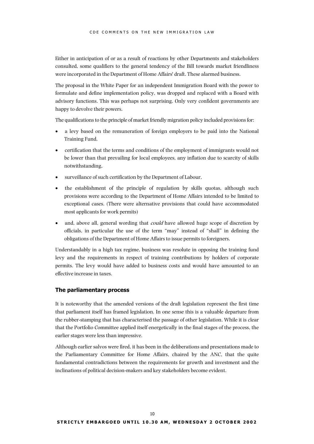Either in anticipation of or as a result of reactions by other Departments and stakeholders consulted, some qualifiers to the general tendency of the Bill towards market friendliness were incorporated in the Department of Home Affairs' draft. These alarmed business.

The proposal in the White Paper for an independent Immigration Board with the power to formulate and define implementation policy, was dropped and replaced with a Board with advisory functions. This was perhaps not surprising. Only very confident governments are happy to devolve their powers.

The qualifications to the principle of market friendly migration policy included provisions for:

- a levy based on the remuneration of foreign employers to be paid into the National Training Fund,
- certification that the terms and conditions of the employment of immigrants would not be lower than that prevailing for local employees, any inflation due to scarcity of skills notwithstanding,
- surveillance of such certification by the Department of Labour,
- the establishment of the principle of regulation by skills quotas, although such provisions were according to the Department of Home Affairs intended to be limited to exceptional cases. (There were alternative provisions that could have accommodated most applicants for work permits)
- and, above all, general wording that *could* have allowed huge scope of discretion by officials, in particular the use of the term "may" instead of "shall" in defining the obligations of the Department of Home Affairs to issue permits to foreigners.

Understandably in a high tax regime, business was resolute in opposing the training fund levy and the requirements in respect of training contributions by holders of corporate permits. The levy would have added to business costs and would have amounted to an effective increase in taxes.

#### **The parliamentary process**

It is noteworthy that the amended versions of the draft legislation represent the first time that parliament itself has framed legislation. In one sense this is a valuable departure from the rubber-stamping that has characterised the passage of other legislation. While it is clear that the Portfolio Committee applied itself energetically in the final stages of the process, the earlier stages were less than impressive.

Although earlier salvos were fired, it has been in the deliberations and presentations made to the Parliamentary Committee for Home Affairs, chaired by the ANC, that the quite fundamental contradictions between the requirements for growth and investment and the inclinations of political decision-makers and key stakeholders become evident.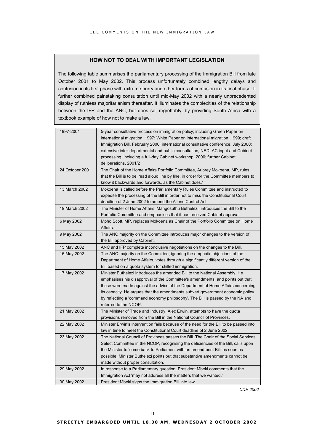# **HOW NOT TO DEAL WITH IMPORTANT LEGISLATION**

The following table summarises the parliamentary processing of the Immigration Bill from late October 2001 to May 2002. This process unfortunately combined lengthy delays and confusion in its first phase with extreme hurry and other forms of confusion in its final phase. It further combined painstaking consultation until mid-May 2002 with a nearly unprecedented display of ruthless majoritarianism thereafter. It illuminates the complexities of the relationship between the IFP and the ANC, but does so, regrettably, by providing South Africa with a textbook example of how not to make a law.

| 1997-2001       | 5-year consultative process on immigration policy; including Green Paper on<br>international migration, 1997; White Paper on international migration, 1999; draft<br>Immigration Bill, February 2000; international consultative conference, July 2000;<br>extensive inter-departmental and public consultation, NEDLAC input and Cabinet<br>processing, including a full-day Cabinet workshop, 2000; further Cabinet<br>deliberations, 2001/2 |
|-----------------|------------------------------------------------------------------------------------------------------------------------------------------------------------------------------------------------------------------------------------------------------------------------------------------------------------------------------------------------------------------------------------------------------------------------------------------------|
| 24 October 2001 | The Chair of the Home Affairs Portfolio Committee, Aubrey Mokoena, MP, rules<br>that the Bill is to be 'read aloud line by line, in order for the Committee members to<br>know it backwards and forwards, as the Cabinet does.'                                                                                                                                                                                                                |
| 13 March 2002   | Mokoena is called before the Parliamentary Rules Committee and instructed to<br>expedite the processing of the Bill in order not to miss the Constitutional Court<br>deadline of 2 June 2002 to amend the Aliens Control Act.                                                                                                                                                                                                                  |
| 19 March 2002   | The Minister of Home Affairs, Mangosuthu Buthelezi, introduces the Bill to the<br>Portfolio Committee and emphasises that it has received Cabinet approval.                                                                                                                                                                                                                                                                                    |
| 6 May 2002      | Mpho Scott, MP, replaces Mokoena as Chair of the Portfolio Committee on Home<br>Affairs.                                                                                                                                                                                                                                                                                                                                                       |
| 9 May 2002      | The ANC majority on the Committee introduces major changes to the version of<br>the Bill approved by Cabinet.                                                                                                                                                                                                                                                                                                                                  |
| 15 May 2002     | ANC and IFP complete inconclusive negotiations on the changes to the Bill.                                                                                                                                                                                                                                                                                                                                                                     |
| 16 May 2002     | The ANC majority on the Committee, ignoring the emphatic objections of the<br>Department of Home Affairs, votes through a significantly different version of the<br>Bill based on a quota system for skilled immigration.                                                                                                                                                                                                                      |
| 17 May 2002     | Minister Buthelezi introduces the amended Bill to the National Assembly. He<br>emphasises his disapproval of the Committee's amendments, and points out that<br>these were made against the advice of the Department of Home Affairs concerning<br>its capacity. He argues that the amendments subvert government economic policy<br>by reflecting a 'command economy philosophy'. The Bill is passed by the NA and<br>referred to the NCOP.   |
| 21 May 2002     | The Minister of Trade and Industry, Alec Erwin, attempts to have the quota<br>provisions removed from the Bill in the National Council of Provinces.                                                                                                                                                                                                                                                                                           |
| 22 May 2002     | Minister Erwin's intervention fails because of the need for the Bill to be passed into<br>law in time to meet the Constitutional Court deadline of 2 June 2002.                                                                                                                                                                                                                                                                                |
| 23 May 2002     | The National Council of Provinces passes the Bill. The Chair of the Social Services<br>Select Committee in the NCOP, recognising the deficiencies of the Bill, calls upon<br>the Minister to 'come back to Parliament with an amendment Bill' as soon as<br>possible. Minister Buthelezi points out that substantive amendments cannot be<br>made without proper consultation.                                                                 |
| 29 May 2002     | In response to a Parliamentary question, President Mbeki comments that the<br>Immigration Act 'may not address all the matters that we wanted.'                                                                                                                                                                                                                                                                                                |
| 30 May 2002     | President Mbeki signs the Immigration Bill into law.                                                                                                                                                                                                                                                                                                                                                                                           |

*CDE 2002*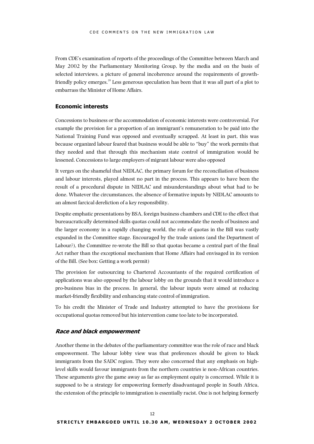From CDE's examination of reports of the proceedings of the Committee between March and May 2002 by the Parliamentary Monitoring Group, by the media and on the basis of selected interviews, a picture of general incoherence around the requirements of growthfriendly policy emerges[.28](#page-25-27) Less generous speculation has been that it was all part of a plot to embarrass the Minister of Home Affairs.

# **Economic interests**

Concessions to business or the accommodation of economic interests were controversial. For example the provision for a proportion of an immigrant's remuneration to be paid into the National Training Fund was opposed and eventually scrapped. At least in part, this was because organized labour feared that business would be able to "buy" the work permits that they needed and that through this mechanism state control of immigration would be lessened. Concessions to large employers of migrant labour were also opposed

It verges on the shameful that NEDLAC, the primary forum for the reconciliation of business and labour interests, played almost no part in the process. This appears to have been the result of a procedural dispute in NEDLAC and misunderstandings about what had to be done. Whatever the circumstances, the absence of formative inputs by NEDLAC amounts to an almost farcical dereliction of a key responsibility.

Despite emphatic presentations by BSA, foreign business chambers and CDE to the effect that bureaucratically determined skills quotas could not accommodate the needs of business and the larger economy in a rapidly changing world, the role of quotas in the Bill was vastly expanded in the Committee stage. Encouraged by the trade unions (and the Department of Labour?), the Committee re-wrote the Bill so that quotas became a central part of the final Act rather than the exceptional mechanism that Home Affairs had envisaged in its version of the Bill. (See box: Getting a work permit)

The provision for outsourcing to Chartered Accountants of the required certification of applications was also opposed by the labour lobby on the grounds that it would introduce a pro-business bias in the process. In general, the labour inputs were aimed at reducing market-friendly flexibility and enhancing state control of immigration.

To his credit the Minister of Trade and Industry attempted to have the provisions for occupational quotas removed but his intervention came too late to be incorporated.

# **Race and black empowerment**

Another theme in the debates of the parliamentary committee was the role of race and black empowerment. The labour lobby view was that preferences should be given to black immigrants from the SADC region. They were also concerned that any emphasis on highlevel skills would favour immigrants from the northern countries ie non-African countries. These arguments give the game away as far as employment equity is concerned. While it is supposed to be a strategy for empowering formerly disadvantaged people in South Africa, the extension of the principle to immigration is essentially racist. One is not helping formerly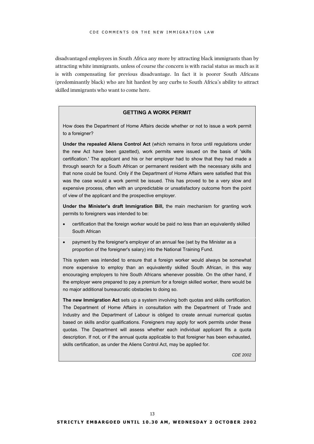disadvantaged employees in South Africa any more by attracting black immigrants than by attracting white immigrants, unless of course the concern is with racial status as much as it is with compensating for previous disadvantage. In fact it is poorer South Africans (predominantly black) who are hit hardest by any curbs to South Africa's ability to attract skilled immigrants who want to come here.

### **GETTING A WORK PERMIT**

How does the Department of Home Affairs decide whether or not to issue a work permit to a foreigner?

**Under the repealed Aliens Control Act** (which remains in force until regulations under the new Act have been gazetted), work permits were issued on the basis of 'skills certification.' The applicant and his or her employer had to show that they had made a through search for a South African or permanent resident with the necessary skills and that none could be found. Only if the Department of Home Affairs were satisfied that this was the case would a work permit be issued. This has proved to be a very slow and expensive process, often with an unpredictable or unsatisfactory outcome from the point of view of the applicant and the prospective employer.

**Under the Minister's draft Immigration Bill,** the main mechanism for granting work permits to foreigners was intended to be:

- certification that the foreign worker would be paid no less than an equivalently skilled South African
- payment by the foreigner's employer of an annual fee (set by the Minister as a proportion of the foreigner's salary) into the National Training Fund.

This system was intended to ensure that a foreign worker would always be somewhat more expensive to employ than an equivalently skilled South African, in this way encouraging employers to hire South Africans whenever possible. On the other hand, if the employer were prepared to pay a premium for a foreign skilled worker, there would be no major additional bureaucratic obstacles to doing so.

**The new Immigration Act** sets up a system involving both quotas and skills certification. The Department of Home Affairs in consultation with the Department of Trade and Industry and the Department of Labour is obliged to create annual numerical quotas based on skills and/or qualifications. Foreigners may apply for work permits under these quotas. The Department will assess whether each individual applicant fits a quota description. If not, or if the annual quota applicable to that foreigner has been exhausted, skills certification, as under the Aliens Control Act, may be applied for.

*CDE 2002*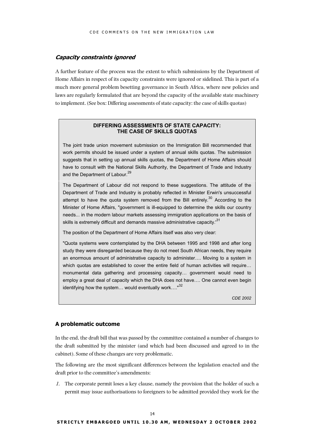## **Capacity constraints ignored**

A further feature of the process was the extent to which submissions by the Department of Home Affairs in respect of its capacity constraints were ignored or sidelined. This is part of a much more general problem besetting governance in South Africa, where new policies and laws are regularly formulated that are beyond the capacity of the available state machinery to implement. (See box: Differing assessments of state capacity: the case of skills quotas)

# **DIFFERING ASSESSMENTS OF STATE CAPACITY: THE CASE OF SKILLS QUOTAS**

The joint trade union movement submission on the Immigration Bill recommended that work permits should be issued under a system of annual skills quotas. The submission suggests that in setting up annual skills quotas, the Department of Home Affairs should have to consult with the National Skills Authority, the Department of Trade and Industry and the Department of Labour.<sup>[29](#page-25-28)</sup>

The Department of Labour did not respond to these suggestions. The attitude of the Department of Trade and Industry is probably reflected in Minister Erwin's unsuccessful attempt to have the quota system removed from the Bill entirely.<sup>30</sup> According to the Minister of Home Affairs, "government is ill-equipped to determine the skills our country needs... in the modern labour markets assessing immigration applications on the basis of skills is extremely difficult and demands massive administrative capacity.<sup>[31](#page-25-30)</sup>

The position of the Department of Home Affairs itself was also very clear:

"Quota systems were contemplated by the DHA between 1995 and 1998 and after long study they were disregarded because they do not meet South African needs, they require an enormous amount of administrative capacity to administer…. Moving to a system in which quotas are established to cover the entire field of human activities will require... monumental data gathering and processing capacity… government would need to employ a great deal of capacity which the DHA does not have…. One cannot even begin identifying how the system... would eventually work...."<sup>[32](#page-25-31)</sup>

*CDE 2002*

#### **A problematic outcome**

In the end, the draft bill that was passed by the committee contained a number of changes to the draft submitted by the minister (and which had been discussed and agreed to in the cabinet). Some of these changes are very problematic.

The following are the most significant differences between the legislation enacted and the draft prior to the committee's amendments:

1. The corporate permit loses a key clause, namely the provision that the holder of such a permit may issue authorisations to foreigners to be admitted provided they work for the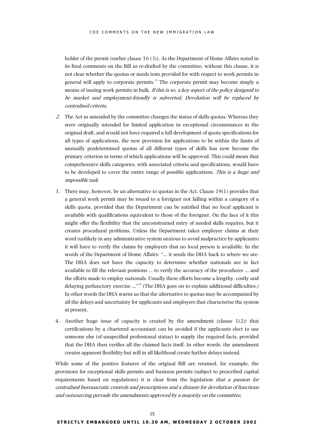holder of the permit (earlier clause 16 (3)). As the Department of Home Affairs noted in its final comments on the Bill as re-drafted by the committee, without this clause, it is not clear whether the quotas or needs tests provided for with respect to work permits in general will apply to corporate permits.<sup>33</sup> The corporate permit may become simply a means of issuing work permits in bulk. If this is so, a key aspect of the policy designed to be market and employment-friendly is subverted. Devolution will be replaced by centralised criteria.

- 2. The Act as amended by the committee changes the status of skills quotas. Whereas they were originally intended for limited application in exceptional circumstances in the original draft, and would not have required a full development of quota specifications for all types of applications, the new provision for applications to be within the limits of annually predetermined quotas of all different types of skills has now become the primary criterion in terms of which applications will be approved. This could mean that comprehensive skills categories, with associated criteria and specifications, would have to be developed to cover the entire range of possible applications. This is a huge and impossible task
- 3. There may, however, be an alternative to quotas in the Act. Clause 19(1) provides that a general work permit may be issued to a foreigner not falling within a category of a skills quota, provided that the Department can be satisfied that no local applicant is available with qualifications equivalent to those of the foreigner. On the face of it this might offer the flexibility that the unconstrained entry of needed skills requires, but it creates procedural problems. Unless the Department takes employer claims at their word (unlikely in any administrative system anxious to avoid malpractice by applicants) it will have to verify the claims by employers that no local person is available. In the words of the Department of Home Affairs: "… it sends the DHA back to where we are. The DHA does not have the capacity to determine whether nationals are in fact available to fill the relevant positions … to verify the accuracy of the procedures … and the efforts made to employ nationals. Usually these efforts become a lengthy, costly and delaying perfunctory exercise …"[34 \(](#page-25-33)The DHA goes on to explain additional difficulties.) In other words the DHA warns us that the alternative to quotas may be accompanied by all the delays and uncertainty for applicants and employers that characterise the system at present.
- 4. Another huge issue of capacity is created by the amendment (clause 1(2)) that certifications by a chartered accountant can be avoided if the applicants elect to use someone else (of unspecified professional status) to supply the required facts, provided that the DHA then verifies all the claimed facts itself. In other words, the amendment creates apparent flexibility but will in all likelihood create further delays instead.

While some of the positive features of the original Bill are retained, for example, the provisions for exceptional skills permits and business permits (subject to prescribed capital requirements based on regulations) it is clear from the legislation that a passion for centralised bureaucratic controls and prescriptions and a distaste for devolution of functions and outsourcing pervade the amendments approved by a majority on the committee.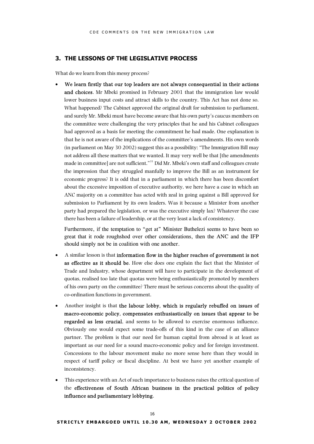# **3. THE LESSONS OF THE LEGISLATIVE PROCESS**

What do we learn from this messy process?

• We learn firstly that our top leaders are not always consequential in their actions and choices. Mr Mbeki promised in February 2001 that the immigration law would lower business input costs and attract skills to the country. This Act has not done so. What happened? The Cabinet approved the original draft for submission to parliament, and surely Mr. Mbeki must have become aware that his own party's caucus members on the committee were challenging the very principles that he and his Cabinet colleagues had approved as a basis for meeting the commitment he had made. One explanation is that he is not aware of the implications of the committee's amendments. His own words (in parliament on May 30 2002) suggest this as a possibility: "The Immigration Bill may not address all these matters that we wanted. It may very well be that [the amendments made in committee] are not sufficient."[35](#page-25-34) Did Mr. Mbeki's own staff and colleagues create the impression that they struggled manfully to improve the Bill as an instrument for economic progress? It is odd that in a parliament in which there has been discomfort about the excessive imposition of executive authority, we here have a case in which an ANC majority on a committee has acted with zeal in going against a Bill approved for submission to Parliament by its own leaders. Was it because a Minister from another party had prepared the legislation, or was the executive simply lax? Whatever the case there has been a failure of leadership, or at the very least a lack of consistency.

Furthermore, if the temptation to "get at" Minister Buthelezi seems to have been so great that it rode roughshod over other considerations, then the ANC and the IFP should simply not be in coalition with one another.

- A similar lesson is that information flow in the higher reaches of government is not as effective as it should be. How else does one explain the fact that the Minister of Trade and Industry, whose department will have to participate in the development of quotas, realised too late that quotas were being enthusiastically promoted by members of his own party on the committee? There must be serious concerns about the quality of co-ordination functions in government.
- Another insight is that the labour lobby, which is regularly rebuffed on issues of macro-economic policy, compensates enthusiastically on issues that appear to be regarded as less crucial, and seems to be allowed to exercise enormous influence. Obviously one would expect some trade-offs of this kind in the case of an alliance partner. The problem is that our need for human capital from abroad is at least as important as our need for a sound macro-economic policy and for foreign investment. Concessions to the labour movement make no more sense here than they would in respect of tariff policy or fiscal discipline. At best we have yet another example of inconsistency.
- This experience with an Act of such importance to business raises the critical question of the effectiveness of South African business in the practical politics of policy influence and parliamentary lobbying.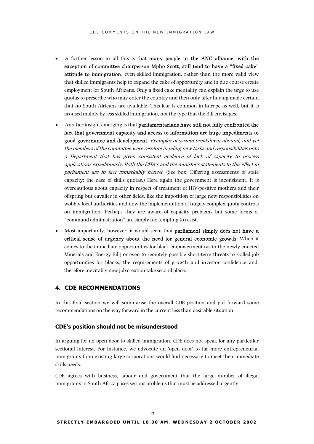- A further lesson in all this is that many people in the ANC alliance, with the exception of committee chairperson Mpho Scott, still tend to have a "fixed cake" attitude to immigration, even skilled immigration, rather than the more valid view that skilled immigrants help to expand the cake of opportunity and in due course create employment for South Africans. Only a fixed cake mentality can explain the urge to use quotas to prescribe who may enter the country and then only after having made certain that no South Africans are available. This fear is common in Europe as well, but it is aroused mainly by less skilled immigration, not the type that the Bill envisages.
- Another insight emerging is that parliamentarians have still not fully confronted the fact that government capacity and access to information are huge impediments to good governance and development. Examples of system breakdown abound, and yet the members of the committee were resolute in piling new tasks and responsibilities onto a Department that has given consistent evidence of lack of capacity to process applications expeditiously. Both the DHA's and the minister's statements to this effect in parliament are in fact remarkably honest. (See box: Differing assessments of state capacity: the case of skills quotas.) Here again the government is inconsistent. It is overcautious about capacity in respect of treatment of HIV-positive mothers and their offspring but cavalier in other fields, like the imposition of large new responsibilities on wobbly local authorities and now the implementation of hugely complex quota controls on immigration. Perhaps they are aware of capacity problems but some forms of "command administration" are simply too tempting to resist.
- Most importantly, however, it would seem that **parliament simply does not have a** critical sense of urgency about the need for general economic growth. When it comes to the immediate opportunities for black empowerment (as in the newly enacted Minerals and Energy Bill) or even to remotely possible short-term threats to skilled job opportunities for blacks, the requirements of growth and investor confidence and, therefore inevitably new job creation take second place.

# **4. CDE RECOMMENDATIONS**

In this final section we will summarise the overall CDE position and put forward some recommendations on the way forward in the current less than desirable situation.

### **CDE's position should not be misunderstood**

In arguing for an open door to skilled immigration, CDE does not speak for any particular sectional interest. For instance, we advocate an 'open door' to far more entrepreneurial immigrants than existing large corporations would find necessary to meet their immediate skills needs.

CDE agrees with business, labour and government that the large number of illegal immigrants in South Africa poses serious problems that must be addressed urgently.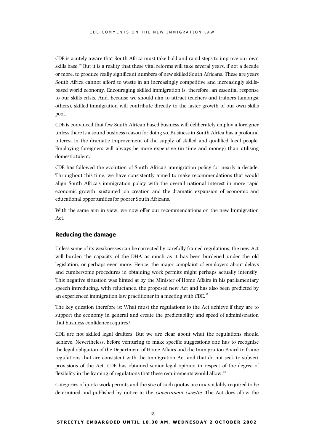CDE is acutely aware that South Africa must take bold and rapid steps to improve our own skills base.<sup>36</sup> But it is a reality that these vital reforms will take several years, if not a decade or more, to produce really significant numbers of new skilled South Africans. These are years South Africa cannot afford to waste in an increasingly competitive and increasingly skillsbased world economy. Encouraging skilled immigration is, therefore, an essential response to our skills crisis. And, because we should aim to attract teachers and trainers (amongst others), skilled immigration will contribute directly to the faster growth of our own skills pool.

CDE is convinced that few South African based business will deliberately employ a foreigner unless there is a sound business reason for doing so. Business in South Africa has a profound interest in the dramatic improvement of the supply of skilled and qualified local people. Employing foreigners will always be more expensive (in time and money) than utilising domestic talent.

CDE has followed the evolution of South Africa's immigration policy for nearly a decade. Throughout this time, we have consistently aimed to make recommendations that would align South Africa's immigration policy with the overall national interest in more rapid economic growth, sustained job creation and the dramatic expansion of economic and educational opportunities for poorer South Africans.

With the same aim in view, we now offer our recommendations on the new Immigration Act.

# **Reducing the damage**

Unless some of its weaknesses can be corrected by carefully framed regulations, the new Act will burden the capacity of the DHA as much as it has been burdened under the old legislation, or perhaps even more. Hence, the major complaint of employers about delays and cumbersome procedures in obtaining work permits might perhaps actually intensify. This negative situation was hinted at by the Minister of Home Affairs in his parliamentary speech introducing, with reluctance, the proposed new Act and has also been predicted by an experienced immigration law practitioner in a meeting with CDE.<sup>[37](#page-25-36)</sup>

The key question therefore is: What must the regulations to the Act achieve if they are to support the economy in general and create the predictability and speed of administration that business confidence requires?

CDE are not skilled legal drafters. But we are clear about what the regulations should achieve. Nevertheless, before venturing to make specific suggestions one has to recognise the legal obligation of the Department of Home Affairs and the Immigration Board to frame regulations that are consistent with the Immigration Act and that do not seek to subvert provisions of the Act. CDE has obtained senior legal opinion in respect of the degree of flexibility in the framing of regulations that these requirements would allow.<sup>[38](#page-25-37)</sup>

Categories of quota work permits and the size of such quotas are unavoidably required to be determined and published by notice in the Government Gazette. The Act does allow the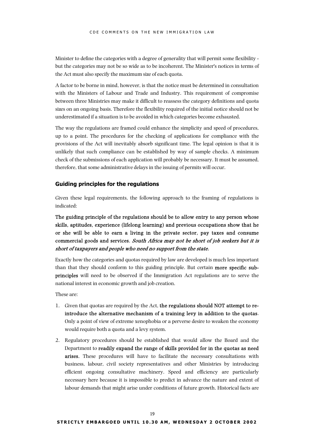Minister to define the categories with a degree of generality that will permit some flexibility but the categories may not be so wide as to be incoherent. The Minister's notices in terms of the Act must also specify the maximum size of each quota.

A factor to be borne in mind, however, is that the notice must be determined in consultation with the Ministers of Labour and Trade and Industry. This requirement of compromise between three Ministries may make it difficult to reassess the category definitions and quota sizes on an ongoing basis. Therefore the flexibility required of the initial notice should not be underestimated if a situation is to be avoided in which categories become exhausted.

The way the regulations are framed could enhance the simplicity and speed of procedures, up to a point. The procedures for the checking of applications for compliance with the provisions of the Act will inevitably absorb significant time. The legal opinion is that it is unlikely that such compliance can be established by way of sample checks. A minimum check of the submissions of each application will probably be necessary. It must be assumed, therefore, that some administrative delays in the issuing of permits will occur.

# **Guiding principles for the regulations**

Given these legal requirements, the following approach to the framing of regulations is indicated:

The guiding principle of the regulations should be to allow entry to any person whose skills, aptitudes, experience (lifelong learning) and previous occupations show that he or she will be able to earn a living in the private sector, pay taxes and consume commercial goods and services. South Africa may not be short of job seekers but it is short of taxpayers and people who need no support from the state.

Exactly how the categories and quotas required by law are developed is much less important than that they should conform to this guiding principle. But certain more specific subprinciples will need to be observed if the Immigration Act regulations are to serve the national interest in economic growth and job creation.

These are:

- 1. Given that quotas are required by the Act, the regulations should NOT attempt to reintroduce the alternative mechanism of a training levy in addition to the quotas. Only a point of view of extreme xenophobia or a perverse desire to weaken the economy would require both a quota and a levy system.
- 2. Regulatory procedures should be established that would allow the Board and the Department to readily expand the range of skills provided for in the quotas as need arises. These procedures will have to facilitate the necessary consultations with business, labour, civil society representatives and other Ministries by introducing efficient ongoing consultative machinery. Speed and efficiency are particularly necessary here because it is impossible to predict in advance the nature and extent of labour demands that might arise under conditions of future growth. Historical facts are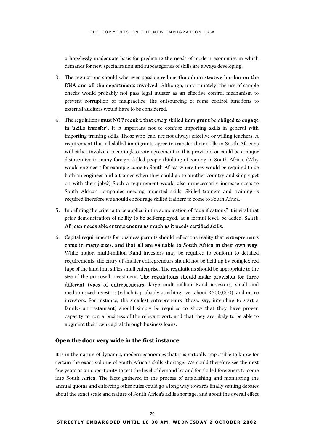a hopelessly inadequate basis for predicting the needs of modern economies in which demands for new specialisation and subcategories of skills are always developing.

- 3. The regulations should wherever possible reduce the administrative burden on the DHA and all the departments involved. Although, unfortunately, the use of sample checks would probably not pass legal muster as an effective control mechanism to prevent corruption or malpractice, the outsourcing of some control functions to external auditors would have to be considered.
- 4. The regulations must NOT require that every skilled immigrant be obliged to engage in 'skills transfer'. It is important not to confuse importing skills in general with importing training skills. Those who 'can' are not always effective or willing teachers. A requirement that all skilled immigrants agree to transfer their skills to South Africans will either involve a meaningless rote agreement to this provision or could be a major disincentive to many foreign skilled people thinking of coming to South Africa. (Why would engineers for example come to South Africa where they would be required to be both an engineer and a trainer when they could go to another country and simply get on with their jobs?) Such a requirement would also unnecessarily increase costs to South African companies needing imported skills. Skilled trainers and training is required therefore we should encourage skilled trainers to come to South Africa.
- 5. In defining the criteria to be applied in the adjudication of "qualifications" it is vital that prior demonstration of ability to be self-employed, at a formal level, be added. South African needs able entrepreneurs as much as it needs certified skills.
- 6. Capital requirements for business permits should reflect the reality that entrepreneurs come in many sizes, and that all are valuable to South Africa in their own way. While major, multi-million Rand investors may be required to conform to detailed requirements, the entry of smaller entrepreneurs should not be held up by complex red tape of the kind that stifles small enterprise. The regulations should be appropriate to the size of the proposed investment. The regulations should make provision for three different types of entrepreneurs: large multi-million Rand investors; small and medium sized investors (which is probably anything over about R500,000); and micro investors. For instance, the smallest entrepreneurs (those, say, intending to start a family-run restaurant) should simply be required to show that they have proven capacity to run a business of the relevant sort, and that they are likely to be able to augment their own capital through business loans.

# **Open the door very wide in the first instance**

It is in the nature of dynamic, modern economies that it is virtually impossible to know for certain the exact volume of South Africa's skills shortage. We could therefore see the next few years as an opportunity to test the level of demand by and for skilled foreigners to come into South Africa. The facts gathered in the process of establishing and monitoring the annual quotas and enforcing other rules could go a long way towards finally settling debates about the exact scale and nature of South Africa's skills shortage, and about the overall effect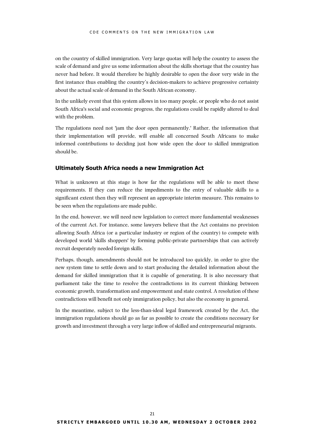on the country of skilled immigration. Very large quotas will help the country to assess the scale of demand and give us some information about the skills shortage that the country has never had before. It would therefore be highly desirable to open the door very wide in the first instance thus enabling the country's decision-makers to achieve progressive certainty about the actual scale of demand in the South African economy.

In the unlikely event that this system allows in too many people, or people who do not assist South Africa's social and economic progress, the regulations could be rapidly altered to deal with the problem.

The regulations need not 'jam the door open permanently.' Rather, the information that their implementation will provide, will enable all concerned South Africans to make informed contributions to deciding just how wide open the door to skilled immigration should be.

### **Ultimately South Africa needs a new Immigration Act**

What is unknown at this stage is how far the regulations will be able to meet these requirements. If they can reduce the impediments to the entry of valuable skills to a significant extent then they will represent an appropriate interim measure. This remains to be seen when the regulations are made public.

In the end, however, we will need new legislation to correct more fundamental weaknesses of the current Act. For instance, some lawyers believe that the Act contains no provision allowing South Africa (or a particular industry or region of the country) to compete with developed world 'skills shoppers' by forming public-private partnerships that can actively recruit desperately needed foreign skills.

Perhaps, though, amendments should not be introduced too quickly, in order to give the new system time to settle down and to start producing the detailed information about the demand for skilled immigration that it is capable of generating. It is also necessary that parliament take the time to resolve the contradictions in its current thinking between economic growth, transformation and empowerment and state control. A resolution of these contradictions will benefit not only immigration policy, but also the economy in general.

In the meantime, subject to the less-than-ideal legal framework created by the Act, the immigration regulations should go as far as possible to create the conditions necessary for growth and investment through a very large inflow of skilled and entrepreneurial migrants.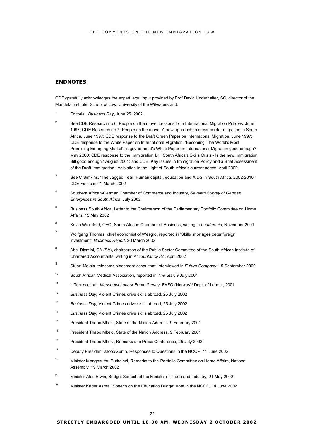# **ENDNOTES**

CDE gratefully acknowledges the expert legal input provided by Prof David Underhalter, SC, director of the Mandela Institute, School of Law, University of the Witwatersrand.

- <sup>1</sup> Editorial, *Business Day*, June 25, 2002
- <sup>2</sup> See CDE Research no 6, People on the move: Lessons from International Migration Policies, June 1997; CDE Research no 7, People on the move: A new approach to cross-border migration in South Africa, June 1997; CDE response to the Draft Green Paper on International Migration, June 1997; CDE response to the White Paper on International Migration, 'Becoming 'The World's Most Promising Emerging Market': is government's White Paper on International Migration good enough? May 2000; CDE response to the Immigration Bill, South Africa's Skills Crisis - Is the new Immigration Bill good enough? August 2001; and CDE, Key Issues in Immigration Policy and a Brief Assessment of the Draft Immigration Legislation in the Light of South Africa's current needs, April 2002.
- <sup>3</sup> See C Simkins, 'The Jagged Tear. Human capital, education and AIDS in South Africa, 2002-2010,' CDE Focus no 7, March 2002
- <sup>4</sup> Southern African-German Chamber of Commerce and Industry, *Seventh Survey of German Enterprises in South Africa*, July 2002
- <sup>5</sup> Business South Africa, Letter to the Chairperson of the Parliamentary Portfolio Committee on Home Affairs, 15 May 2002
- <sup>6</sup> Kevin Wakeford, CEO, South African Chamber of Business, writing in *Leadership*, November 2001
- <sup>7</sup> Wolfgang Thomas, chief economist of Wesgro, reported in 'Skills shortages deter foreign investment', *Business Report*, 20 March 2002
- <sup>8</sup> Abel Dlamini, CA (SA), chairperson of the Public Sector Committee of the South African Institute of Chartered Accountants, writing in *Accountancy SA*, April 2002
- <sup>9</sup> Stuart Melaia, telecoms placement consultant, interviewed in *Future Company*, 15 September 2000
- <sup>10</sup> South African Medical Association, reported in *The Star*, 9 July 2001
- <sup>11</sup> L Torres et. al., *Mesebetsi Labour Force Survey,* FAFO (Norway)/ Dept. of Labour, 2001
- <sup>12</sup> *Business Day,* Violent Crimes drive skills abroad, 25 July 2002
- <sup>13</sup> *Business Day,* Violent Crimes drive skills abroad, 25 July 2002
- <sup>14</sup> *Business Day,* Violent Crimes drive skills abroad, 25 July 2002
- <sup>15</sup> President Thabo Mbeki, State of the Nation Address, 9 February 2001
- <sup>16</sup> President Thabo Mbeki, State of the Nation Address, 9 February 2001
- <sup>17</sup> President Thabo Mbeki, Remarks at a Press Conference, 25 July 2002
- <sup>18</sup> Deputy President Jacob Zuma, Responses to Questions in the NCOP, 11 June 2002
- <sup>19</sup> Minister Mangosuthu Buthelezi, Remarks to the Portfolio Committee on Home Affairs, National Assembly, 19 March 2002
- <sup>20</sup> Minister Alec Erwin, Budget Speech of the Minister of Trade and Industry, 21 May 2002
- <sup>21</sup> Minister Kader Asmal, Speech on the Education Budget Vote in the NCOP, 14 June 2002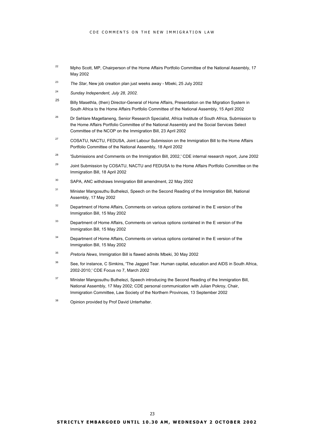- <span id="page-25-21"></span><sup>22</sup> Mpho Scott, MP, Chairperson of the Home Affairs Portfolio Committee of the National Assembly, 17 May 2002
- <span id="page-25-22"></span><span id="page-25-0"></span><sup>23</sup> *The Star*, New job creation plan just weeks away - Mbeki, 25 July 2002
- <span id="page-25-23"></span><sup>24</sup> *Sunday Independent, July 28, 2002.*
- <span id="page-25-24"></span><sup>25</sup> Billy Masethla, (then) Director-General of Home Affairs, Presentation on the Migration System in South Africa to the Home Affairs Portfolio Committee of the National Assembly, 15 April 2002
- <span id="page-25-25"></span><span id="page-25-1"></span><sup>26</sup> Dr Sehlare Magetlaneng, Senior Research Specialist, Africa Institute of South Africa, Submission to the Home Affairs Portfolio Committee of the National Assembly and the Social Services Select Committee of the NCOP on the Immigration Bill, 23 April 2002
- <span id="page-25-26"></span><sup>27</sup> COSATU, NACTU, FEDUSA, Joint Labour Submission on the Immigration Bill to the Home Affairs Portfolio Committee of the National Assembly, 18 April 2002
- <span id="page-25-27"></span><sup>28</sup> 'Submissions and Comments on the Immigration Bill, 2002,' CDE internal research report, June 2002
- <span id="page-25-28"></span><sup>29</sup> Joint Submission by COSATU. NACTU and FEDUSA to the Home Affairs Portfolio Committee on the Immigration Bill, 18 April 2002
- <span id="page-25-29"></span><span id="page-25-2"></span><sup>30</sup> SAPA, ANC withdraws Immigration Bill amendment, 22 May 2002
- <span id="page-25-30"></span><span id="page-25-3"></span><sup>31</sup> Minister Mangosuthu Buthelezi, Speech on the Second Reading of the Immigration Bill, National Assembly, 17 May 2002
- <span id="page-25-31"></span><span id="page-25-4"></span> $32$  Department of Home Affairs, Comments on various options contained in the E version of the Immigration Bill, 15 May 2002
- <span id="page-25-32"></span><span id="page-25-5"></span><sup>33</sup> Department of Home Affairs, Comments on various options contained in the E version of the Immigration Bill, 15 May 2002
- <span id="page-25-33"></span><span id="page-25-6"></span><sup>34</sup> Department of Home Affairs, Comments on various options contained in the E version of the Immigration Bill, 15 May 2002
- <span id="page-25-34"></span><span id="page-25-7"></span><sup>35</sup> *Pretoria News*, Immigration Bill is flawed admits Mbeki, 30 May 2002
- <span id="page-25-35"></span><span id="page-25-8"></span><sup>36</sup> See, for instance, C Simkins, 'The Jagged Tear. Human capital, education and AIDS in South Africa, 2002-2010,' CDE Focus no 7, March 2002
- <span id="page-25-36"></span><span id="page-25-10"></span><span id="page-25-9"></span><sup>37</sup> Minister Mangosuthu Buthelezi, Speech introducing the Second Reading of the Immigration Bill, National Assembly, 17 May 2002; CDE personal communication with Julian Pokroy, Chair, Immigration Committee, Law Society of the Northern Provinces, 13 September 2002
- <span id="page-25-37"></span><span id="page-25-20"></span><span id="page-25-19"></span><span id="page-25-18"></span><span id="page-25-17"></span><span id="page-25-16"></span><span id="page-25-15"></span><span id="page-25-14"></span><span id="page-25-13"></span><span id="page-25-12"></span><span id="page-25-11"></span><sup>38</sup> Opinion provided by Prof David Unterhalter.